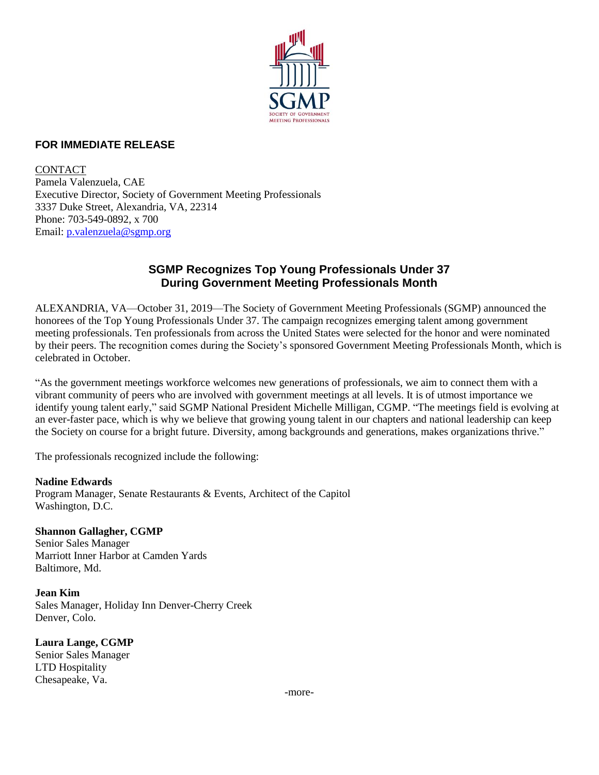

#### **FOR IMMEDIATE RELEASE**

CONTACT Pamela Valenzuela, CAE Executive Director, Society of Government Meeting Professionals 3337 Duke Street, Alexandria, VA, 22314 Phone: 703-549-0892, x 700 Email: [p.valenzuela@sgmp.org](mailto:p.valenzuela@sgmp.org)

## **SGMP Recognizes Top Young Professionals Under 37 During Government Meeting Professionals Month**

ALEXANDRIA, VA—October 31, 2019—The Society of Government Meeting Professionals (SGMP) announced the honorees of the Top Young Professionals Under 37. The campaign recognizes emerging talent among government meeting professionals. Ten professionals from across the United States were selected for the honor and were nominated by their peers. The recognition comes during the Society's sponsored Government Meeting Professionals Month, which is celebrated in October.

"As the government meetings workforce welcomes new generations of professionals, we aim to connect them with a vibrant community of peers who are involved with government meetings at all levels. It is of utmost importance we identify young talent early," said SGMP National President Michelle Milligan, CGMP. "The meetings field is evolving at an ever-faster pace, which is why we believe that growing young talent in our chapters and national leadership can keep the Society on course for a bright future. Diversity, among backgrounds and generations, makes organizations thrive."

The professionals recognized include the following:

### **Nadine Edwards** Program Manager, Senate Restaurants & Events, Architect of the Capitol Washington, D.C.

#### **Shannon Gallagher, CGMP**

Senior Sales Manager Marriott Inner Harbor at Camden Yards Baltimore, Md.

**Jean Kim** Sales Manager, Holiday Inn Denver-Cherry Creek Denver, Colo.

**Laura Lange, CGMP** Senior Sales Manager LTD Hospitality Chesapeake, Va.